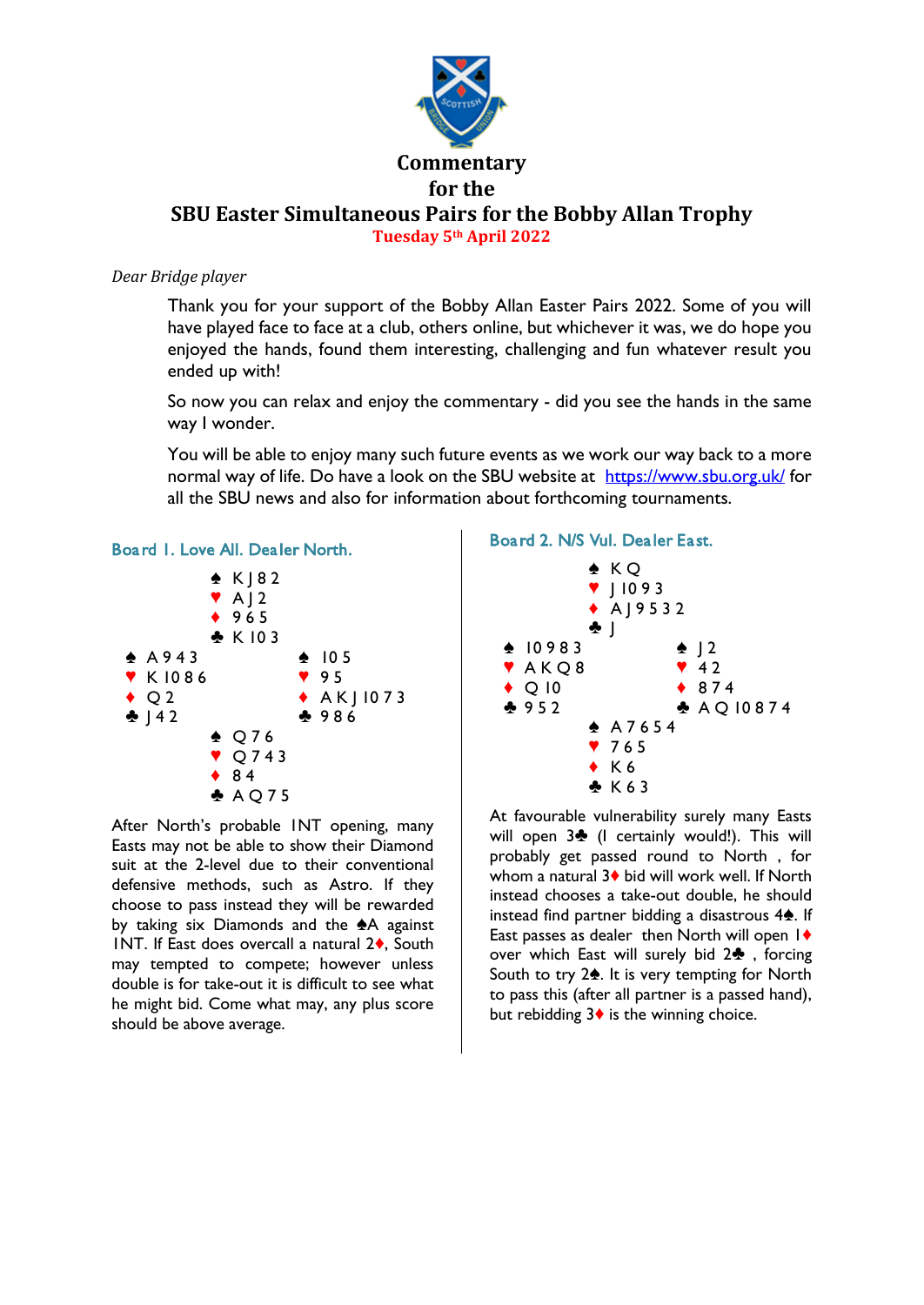

## *Dear Bridge player*

Thank you for your support of the Bobby Allan Easter Pairs 2022. Some of you will have played face to face at a club, others online, but whichever it was, we do hope you enjoyed the hands, found them interesting, challenging and fun whatever result you ended up with!

So now you can relax and enjoy the commentary - did you see the hands in the same way I wonder.

You will be able to enjoy many such future events as we work our way back to a more normal way of life. Do have a look on the SBU website at <https://www.sbu.org.uk/> for all the SBU news and also for information about forthcoming tournaments.



After North's probable 1NT opening, many Easts may not be able to show their Diamond suit at the 2-level due to their conventional defensive methods, such as Astro. If they choose to pass instead they will be rewarded by taking six Diamonds and the  $A$  against 1NT. If East does overcall a natural  $2\diamond$ , South may tempted to compete; however unless double is for take-out it is difficult to see what he might bid. Come what may, any plus score should be above average.

# Board 2. N/S Vul. Dealer East.



At favourable vulnerability surely many Easts will open  $3$  (I certainly would!). This will probably get passed round to North , for whom a natural  $3\blacklozenge$  bid will work well. If North instead chooses a take-out double, he should instead find partner bidding a disastrous  $4\spadesuit$ . If East passes as dealer then North will open  $1\blacklozenge$ over which East will surely bid  $2\clubsuit$ , forcing South to try  $2\spadesuit$ . It is very tempting for North to pass this (after all partner is a passed hand), but rebidding  $3\blacklozenge$  is the winning choice.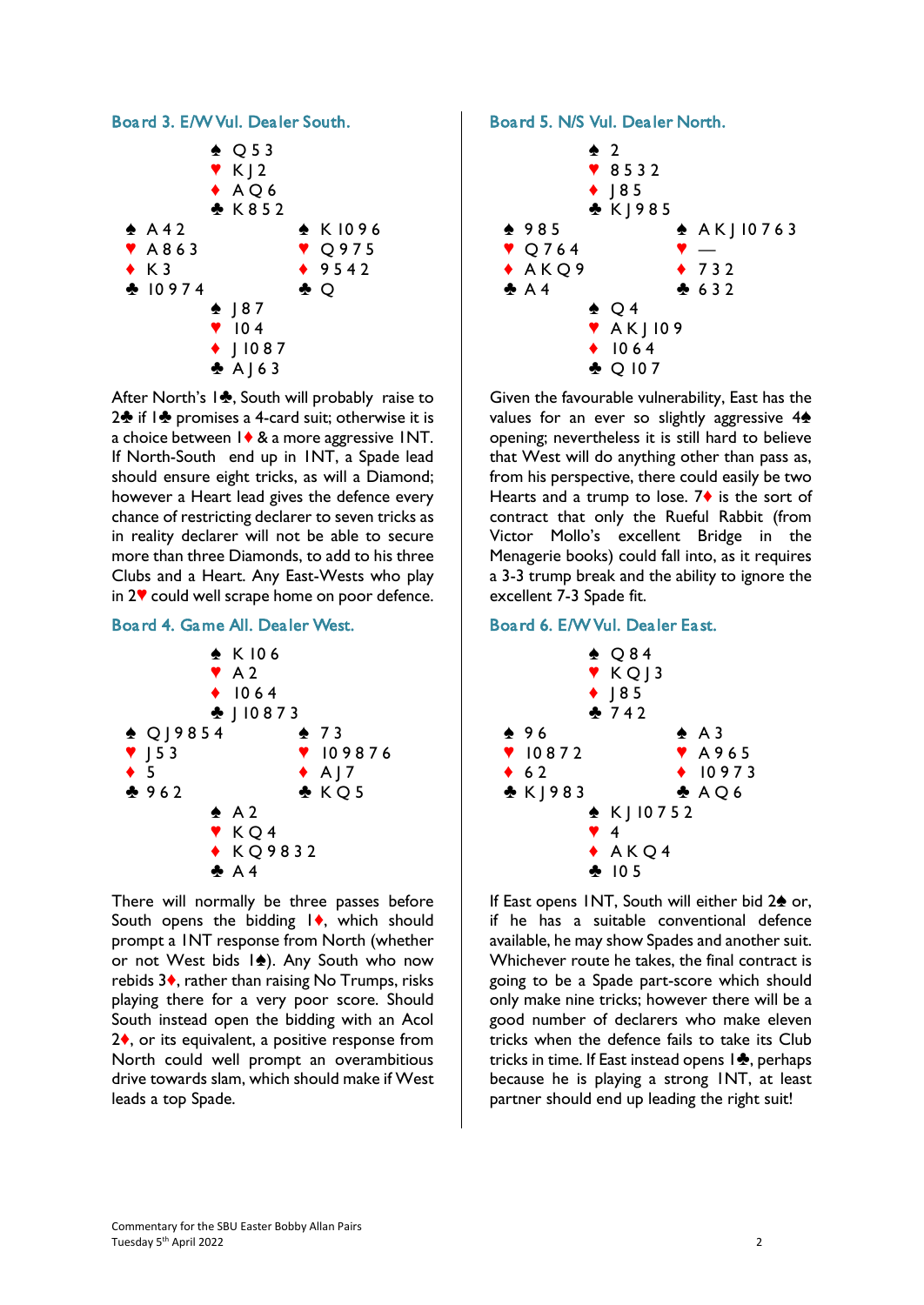

After North's 1<sup>2</sup>, South will probably raise to  $2\cdot$  if  $1\cdot$  promises a 4-card suit; otherwise it is a choice between  $1 \blacklozenge 8$  a more aggressive INT. If North-South end up in 1NT, a Spade lead should ensure eight tricks, as will a Diamond; however a Heart lead gives the defence every chance of restricting declarer to seven tricks as in reality declarer will not be able to secure more than three Diamonds, to add to his three Clubs and a Heart. Any East-Wests who play in  $2$ <sup> $\vee$ </sup> could well scrape home on poor defence.

## Board 4. Game All. Dealer West.



There will normally be three passes before South opens the bidding  $\mathsf{I}\blacklozenge$ , which should prompt a 1NT response from North (whether or not West bids  $|\spadesuit|$ . Any South who now rebids  $3\bullet$ , rather than raising No Trumps, risks playing there for a very poor score. Should South instead open the bidding with an Acol  $2\diamond$ , or its equivalent, a positive response from North could well prompt an overambitious drive towards slam, which should make if West leads a top Spade.

### Board 5. N/S Vul. Dealer North.



Given the favourable vulnerability, East has the values for an ever so slightly aggressive  $4\spadesuit$ opening; nevertheless it is still hard to believe that West will do anything other than pass as, from his perspective, there could easily be two Hearts and a trump to lose.  $7\diamond$  is the sort of contract that only the Rueful Rabbit (from Victor Mollo's excellent Bridge in the Menagerie books) could fall into, as it requires a 3-3 trump break and the ability to ignore the excellent 7-3 Spade fit.

# Board 6. E/W Vul. Dealer East.



If East opens INT, South will either bid  $2\spadesuit$  or, if he has a suitable conventional defence available, he may show Spades and another suit. Whichever route he takes, the final contract is going to be a Spade part-score which should only make nine tricks; however there will be a good number of declarers who make eleven tricks when the defence fails to take its Club tricks in time. If East instead opens  $1\clubsuit$ , perhaps because he is playing a strong 1NT, at least partner should end up leading the right suit!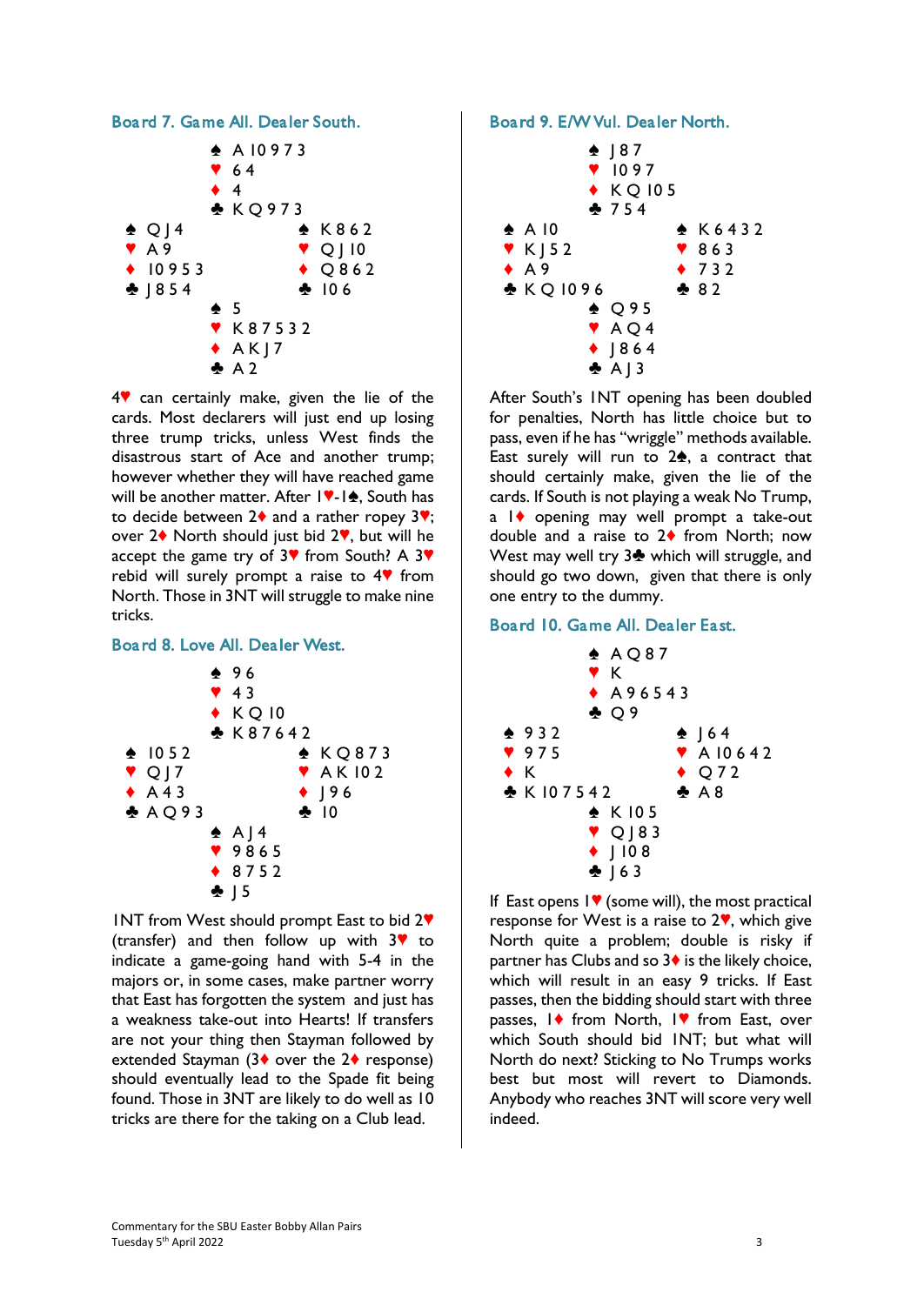

 $4$  can certainly make, given the lie of the cards. Most declarers will just end up losing three trump tricks, unless West finds the disastrous start of Ace and another trump; however whether they will have reached game will be another matter. After  $|\nabla -1$ , South has to decide between  $2\blacklozenge$  and a rather ropey  $3\blacktriangledown$ ; over  $2\blacklozenge$  North should just bid  $2\Psi$ , but will he accept the game try of  $3\%$  from South? A  $3\%$ rebid will surely prompt a raise to  $4$  from North. Those in 3NT will struggle to make nine tricks.

## Board 8. Love All. Dealer West.



INT from West should prompt East to bid  $2\Psi$ (transfer) and then follow up with  $3$ <sup> $\bullet$ </sup> to indicate a game-going hand with 5-4 in the majors or, in some cases, make partner worry that East has forgotten the system and just has a weakness take-out into Hearts! If transfers are not your thing then Stayman followed by extended Stayman (3 $\bullet$  over the 2 $\bullet$  response) should eventually lead to the Spade fit being found. Those in 3NT are likely to do well as 10 tricks are there for the taking on a Club lead.

### Board 9. E/W Vul. Dealer North.



After South's 1NT opening has been doubled for penalties, North has little choice but to pass, even if he has "wriggle" methods available. East surely will run to  $2\spadesuit$ , a contract that should certainly make, given the lie of the cards. If South is not playing a weak No Trump,  $a \mid \blacklozenge$  opening may well prompt a take-out double and a raise to  $2\blacklozenge$  from North; now West may well try  $3\clubsuit$  which will struggle, and should go two down, given that there is only one entry to the dummy.

### Board 10. Game All. Dealer East.



If East opens  $\mathsf{I}\blacktriangledown$  (some will), the most practical response for West is a raise to  $2\%$ , which give North quite a problem; double is risky if partner has Clubs and so  $3\blacklozenge$  is the likely choice, which will result in an easy 9 tricks. If East passes, then the bidding should start with three passes,  $\mathsf{I}\blacklozenge$  from North,  $\mathsf{I}\blacktriangledown$  from East, over which South should bid 1NT; but what will North do next? Sticking to No Trumps works best but most will revert to Diamonds. Anybody who reaches 3NT will score very well indeed.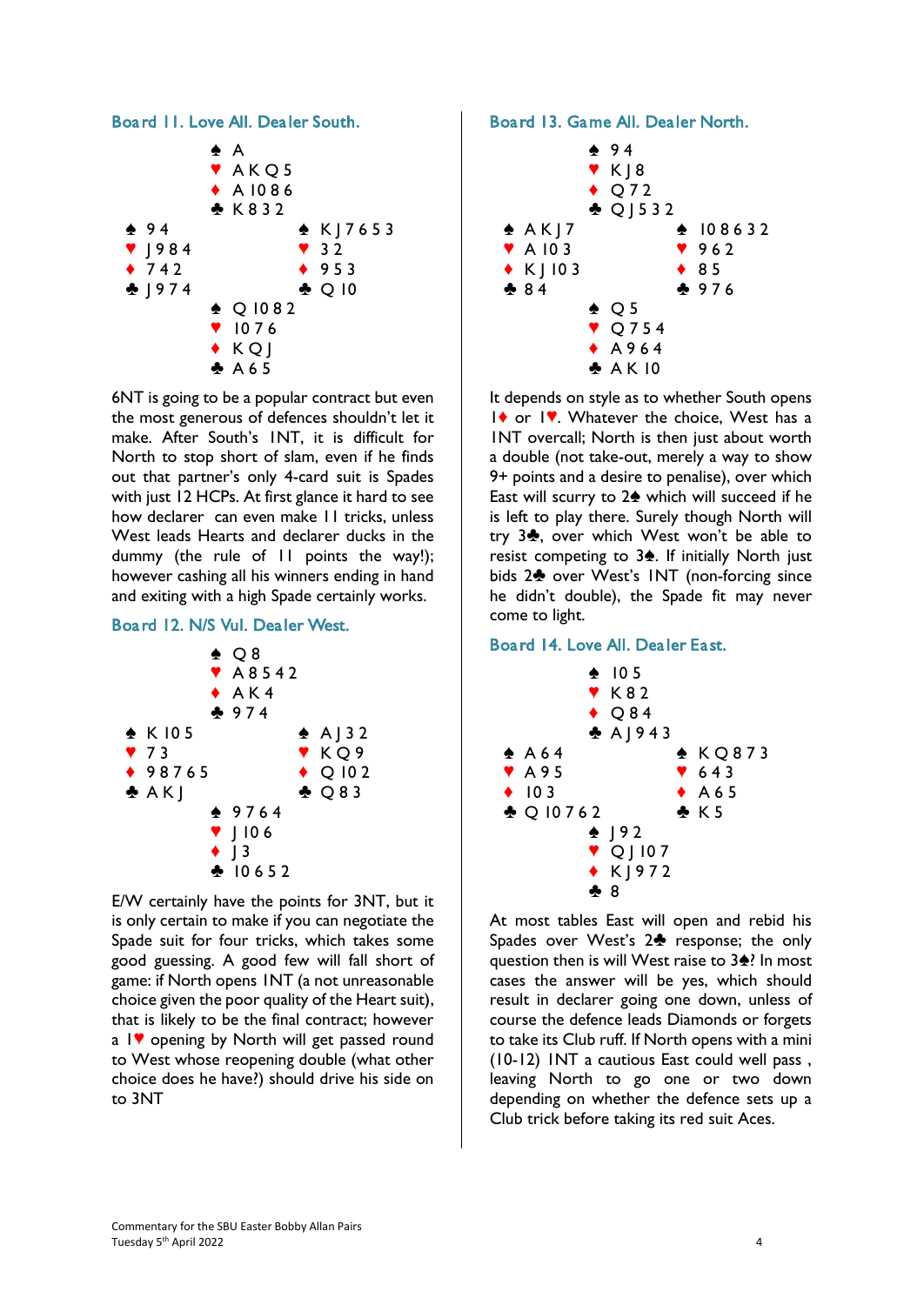#### Board 11. Love All. Dealer South.



6NT is going to be a popular contract but even the most generous of defences shouldn't let it make. After South's 1NT, it is difficult for North to stop short of slam, even if he finds out that partner's only 4-card suit is Spades with just 12 HCPs. At first glance it hard to see how declarer can even make 11 tricks, unless West leads Hearts and declarer ducks in the dummy (the rule of 11 points the way!); however cashing all his winners ending in hand and exiting with a high Spade certainly works.

## Board 12. N/S Vul. Dealer West.



E/W certainly have the points for 3NT, but it is only certain to make if you can negotiate the Spade suit for four tricks, which takes some good guessing. A good few will fall short of game: if North opens 1NT (a not unreasonable choice given the poor quality of the Heart suit), that is likely to be the final contract; however a  $1$  opening by North will get passed round to West whose reopening double (what other choice does he have?) should drive his side on to 3NT

#### Board 13. Game All. Dealer North.



It depends on style as to whether South opens  $1$  or  $1$ . Whatever the choice, West has a 1NT overcall; North is then just about worth a double (not take-out, merely a way to show 9+ points and a desire to penalise), over which East will scurry to  $2\spadesuit$  which will succeed if he is left to play there. Surely though North will try  $3\clubsuit$ , over which West won't be able to resist competing to  $3\spadesuit$ . If initially North just bids 2<sup> $\bullet$ </sup> over West's INT (non-forcing since he didn't double), the Spade fit may never come to light.

### Board 14. Love All. Dealer East.



At most tables East will open and rebid his Spades over West's  $2\clubsuit$  response; the only question then is will West raise to  $3\frac{1}{2}$ ? In most cases the answer will be yes, which should result in declarer going one down, unless of course the defence leads Diamonds or forgets to take its Club ruff. If North opens with a mini (10-12) 1NT a cautious East could well pass , leaving North to go one or two down depending on whether the defence sets up a Club trick before taking its red suit Aces.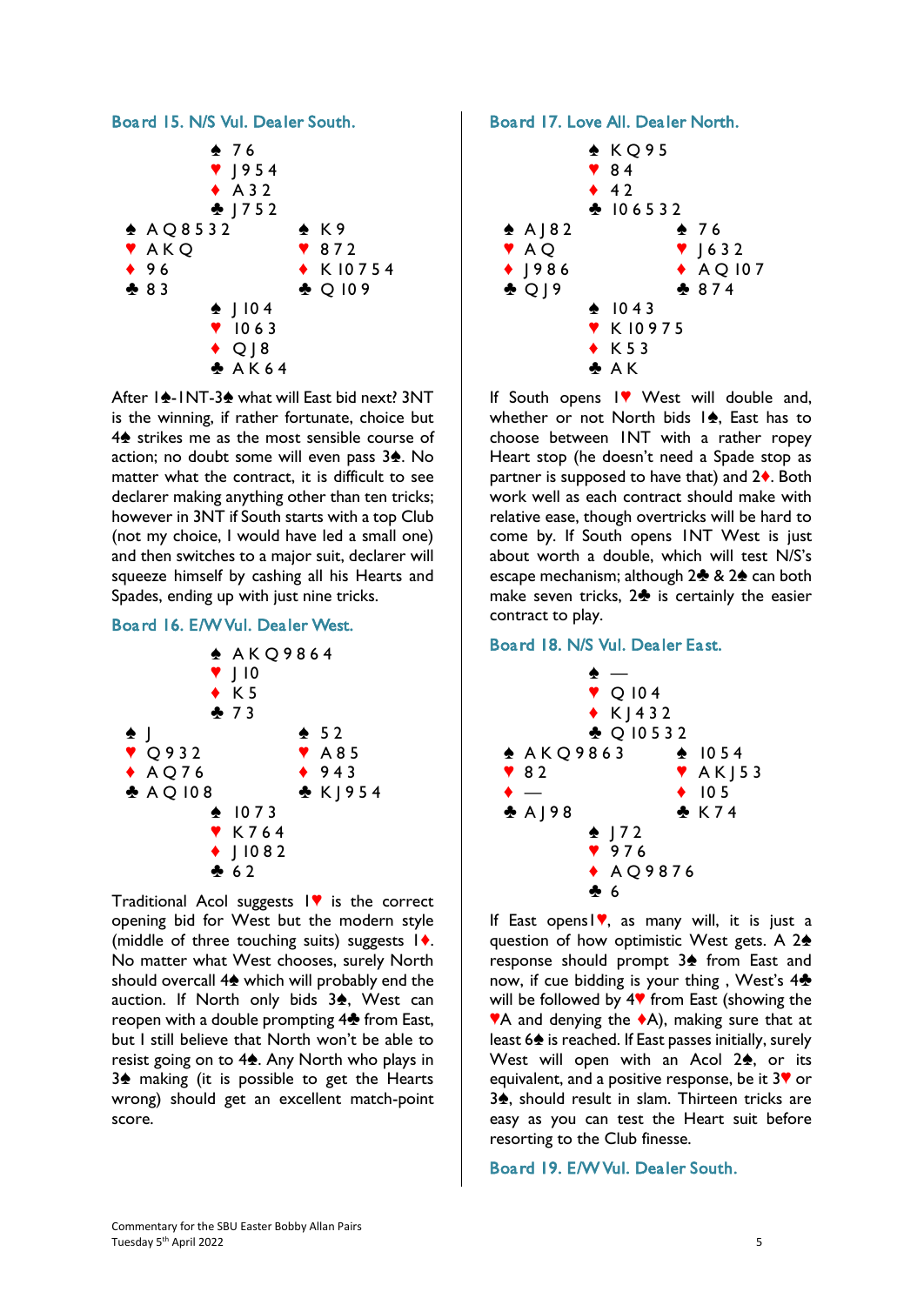

After 1<sup> $\triangle$ </sup>-1NT-3<sup> $\triangle$ </sup> what will East bid next? 3NT is the winning, if rather fortunate, choice but  $4\spadesuit$  strikes me as the most sensible course of action; no doubt some will even pass  $3\spadesuit$ . No matter what the contract, it is difficult to see declarer making anything other than ten tricks; however in 3NT if South starts with a top Club (not my choice, I would have led a small one) and then switches to a major suit, declarer will squeeze himself by cashing all his Hearts and Spades, ending up with just nine tricks.

## Board 16. E/W Vul. Dealer West.



Traditional Acol suggests  $\mathbf{I}$  is the correct opening bid for West but the modern style (middle of three touching suits) suggests  $\mathbf{I}$ . No matter what West chooses, surely North should overcall  $4\spadesuit$  which will probably end the auction. If North only bids  $3\spadesuit$ , West can reopen with a double prompting 4<sup>%</sup> from East, but I still believe that North won't be able to resist going on to  $4\spadesuit$ . Any North who plays in 3<sup> $\bullet$ </sup> making (it is possible to get the Hearts wrong) should get an excellent match-point score.

## Board 17. Love All. Dealer North.



If South opens  $\mathsf{I}^\blacklozenge$  West will double and, whether or not North bids  $\ket{\phi}$ . East has to choose between 1NT with a rather ropey Heart stop (he doesn't need a Spade stop as partner is supposed to have that) and  $2\bullet$ . Both work well as each contract should make with relative ease, though overtricks will be hard to come by. If South opens 1NT West is just about worth a double, which will test N/S's escape mechanism; although  $2\clubsuit 82\spadesuit$  can both make seven tricks,  $2\clubsuit$  is certainly the easier contract to play.

# Board 18. N/S Vul. Dealer East.



If East opens  $\nabla$ , as many will, it is just a question of how optimistic West gets. A  $2\spadesuit$ response should prompt  $3$  from East and now, if cue bidding is your thing, West's  $4\clubsuit$ will be followed by  $4\Psi$  from East (showing the  $'A$  and denying the  $*A$ ), making sure that at least  $6\spadesuit$  is reached. If East passes initially, surely West will open with an Acol  $2\spadesuit$ , or its equivalent, and a positive response, be it  $3\blacktriangledown$  or 3<sup>\*</sup>, should result in slam. Thirteen tricks are easy as you can test the Heart suit before resorting to the Club finesse.

## Board 19. E/W Vul. Dealer South.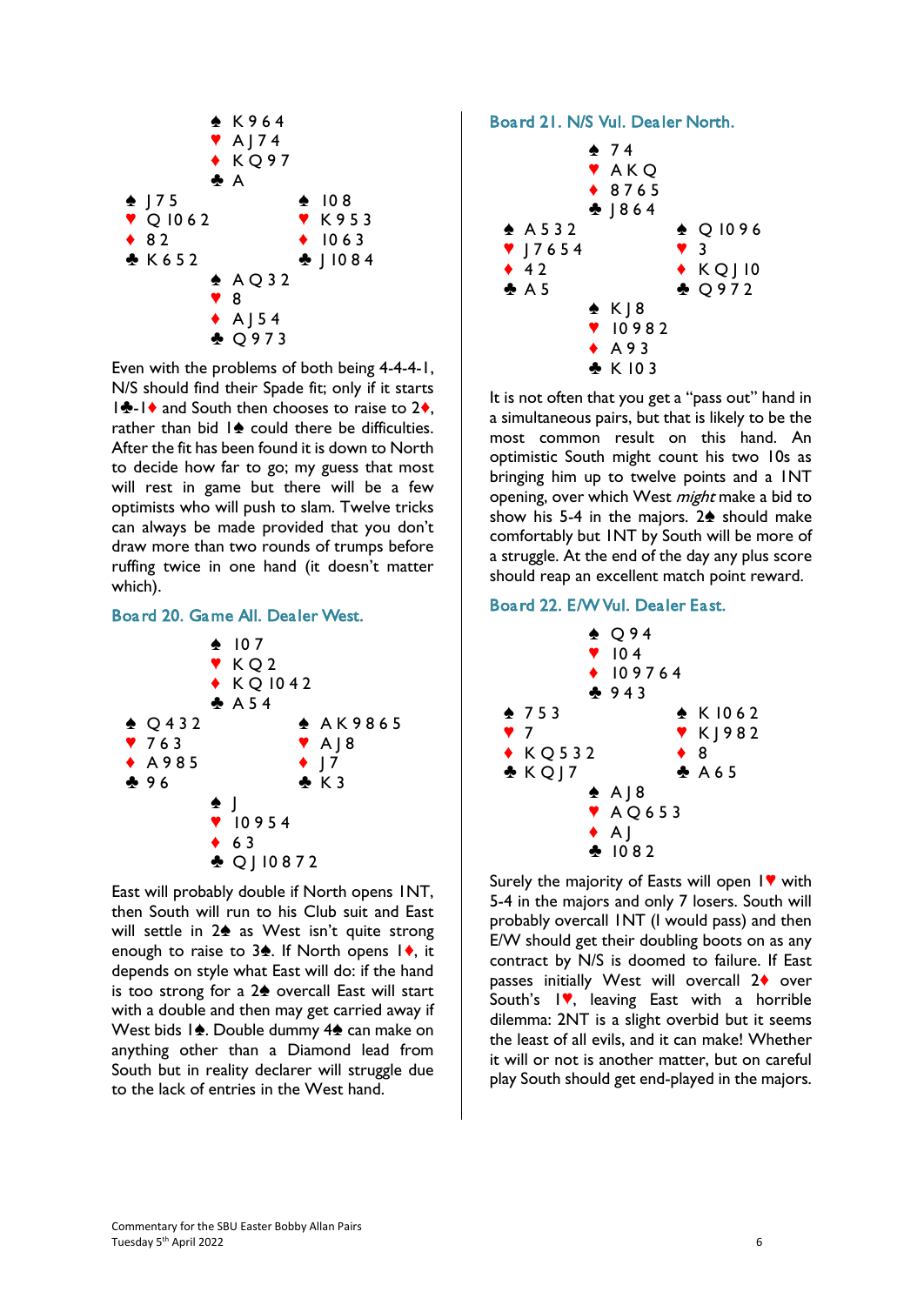

Even with the problems of both being 4-4-4-1, N/S should find their Spade fit; only if it starts  $\frac{1}{2}$ - $\frac{1}{2}$  and South then chooses to raise to 2 $\bullet$ , rather than bid  $\mathbf{I} \triangleq \mathbf{c}$  could there be difficulties. After the fit has been found it is down to North to decide how far to go; my guess that most will rest in game but there will be a few optimists who will push to slam. Twelve tricks can always be made provided that you don't draw more than two rounds of trumps before ruffing twice in one hand (it doesn't matter which).

#### Board 20. Game All. Dealer West.



East will probably double if North opens 1NT, then South will run to his Club suit and East will settle in  $2\spadesuit$  as West isn't quite strong enough to raise to  $3\spadesuit$ . If North opens  $1\spadesuit$ , it depends on style what East will do: if the hand is too strong for a  $2\spadesuit$  overcall East will start with a double and then may get carried away if West bids  $1\spadesuit$ . Double dummy  $4\spadesuit$  can make on anything other than a Diamond lead from South but in reality declarer will struggle due to the lack of entries in the West hand.

#### Board 21. N/S Vul. Dealer North.



It is not often that you get a "pass out" hand in a simultaneous pairs, but that is likely to be the most common result on this hand. An optimistic South might count his two 10s as bringing him up to twelve points and a 1NT opening, over which West *might* make a bid to show his 5-4 in the majors.  $2\spadesuit$  should make comfortably but 1NT by South will be more of a struggle. At the end of the day any plus score should reap an excellent match point reward.

### Board 22. E/W Vul. Dealer East.



Surely the majority of Easts will open  $1$  with 5-4 in the majors and only 7 losers. South will probably overcall 1NT (I would pass) and then E/W should get their doubling boots on as any contract by N/S is doomed to failure. If East passes initially West will overcall  $2\diamond$  over South's  $\mathsf{I}\blacktriangledown$ , leaving East with a horrible dilemma: 2NT is a slight overbid but it seems the least of all evils, and it can make! Whether it will or not is another matter, but on careful play South should get end-played in the majors.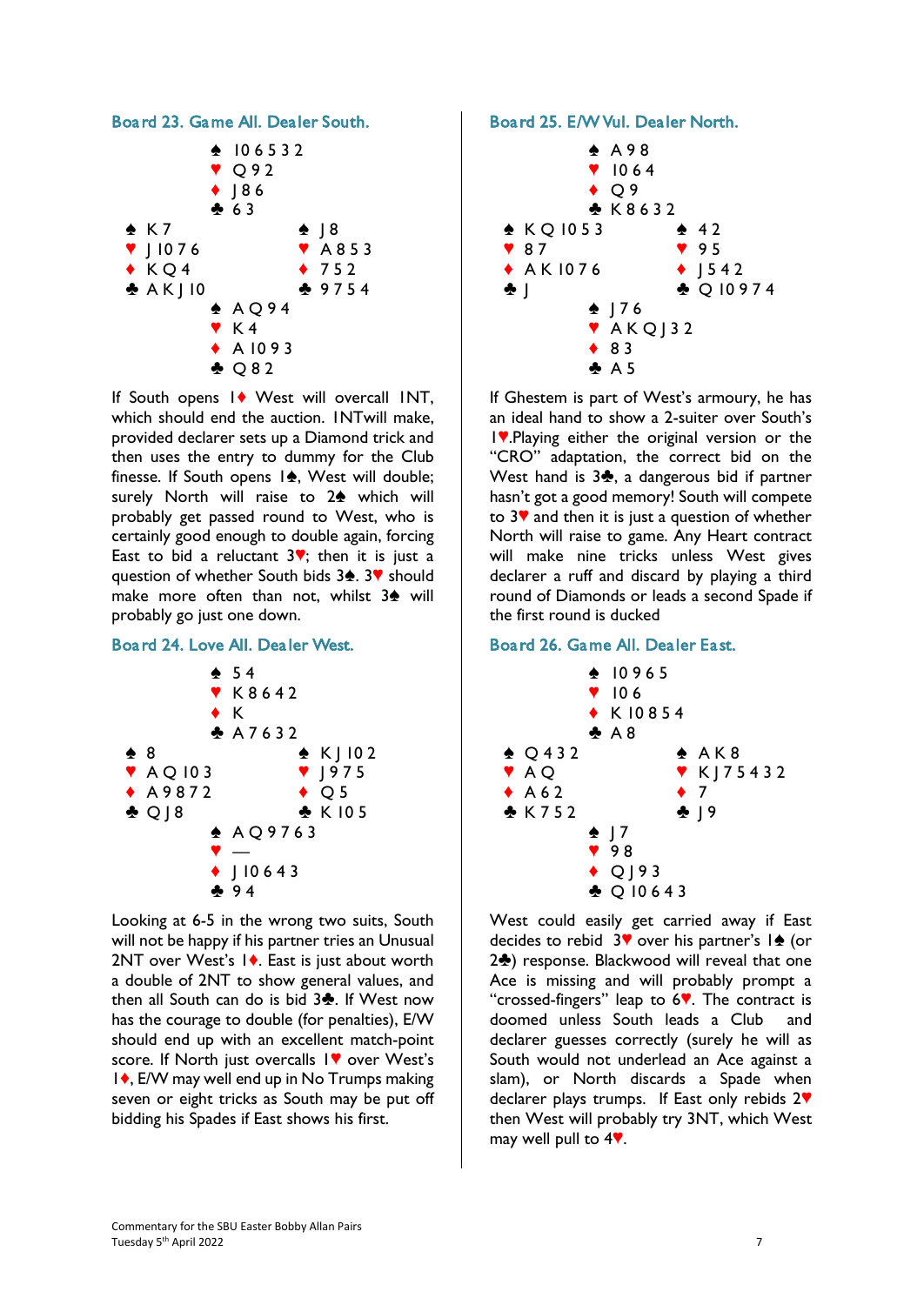

If South opens 1<sup> $\bullet$ </sup> West will overcall INT, which should end the auction. INTwill make, provided declarer sets up a Diamond trick and then uses the entry to dummy for the Club finesse. If South opens  $1\spadesuit$ , West will double; surely North will raise to  $2\spadesuit$  which will probably get passed round to West, who is certainly good enough to double again, forcing East to bid a reluctant  $3$ <sup>v</sup>; then it is just a question of whether South bids 3<sup>2</sup>. 3<sup>9</sup> should make more often than not, whilst  $3\spadesuit$  will probably go just one down.

## Board 24. Love All. Dealer West.



Looking at 6-5 in the wrong two suits, South will not be happy if his partner tries an Unusual 2NT over West's  $\vert \bullet \rangle$ . East is just about worth a double of 2NT to show general values, and then all South can do is bid  $3\clubsuit$ . If West now has the courage to double (for penalties), E/W should end up with an excellent match-point score. If North just overcalls IV over West's 1♦, E/W may well end up in No Trumps making seven or eight tricks as South may be put off bidding his Spades if East shows his first.

# Board 25. E/W Vul. Dealer North.



If Ghestem is part of West's armoury, he has an ideal hand to show a 2-suiter over South's 1.• Playing either the original version or the "CRO" adaptation, the correct bid on the West hand is  $3\clubsuit$ , a dangerous bid if partner hasn't got a good memory! South will compete to  $3$ <sup> $\blacktriangledown$ </sup> and then it is just a question of whether North will raise to game. Any Heart contract will make nine tricks unless West gives declarer a ruff and discard by playing a third round of Diamonds or leads a second Spade if the first round is ducked

# Board 26. Game All. Dealer East.



West could easily get carried away if East decides to rebid  $3$ <sup>v</sup> over his partner's  $1$ <sup>o</sup> (or 2<sup>2</sup>) response. Blackwood will reveal that one Ace is missing and will probably prompt a "crossed-fingers" leap to  $6$ . The contract is doomed unless South leads a Club and declarer guesses correctly (surely he will as South would not underlead an Ace against a slam), or North discards a Spade when declarer plays trumps. If East only rebids  $2\Psi$ then West will probably try 3NT, which West may well pull to  $4$ .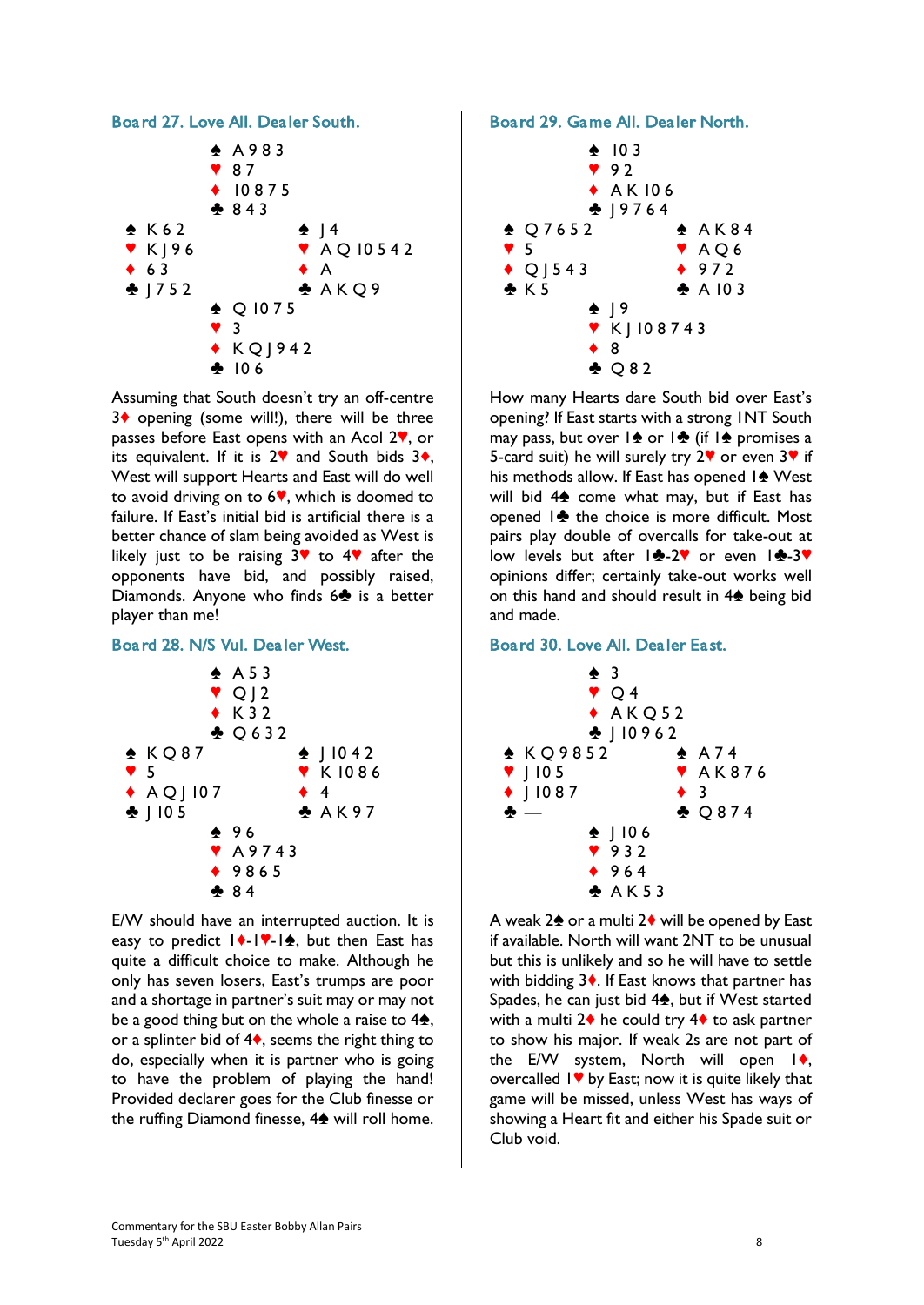

Assuming that South doesn't try an off-centre 3♦ opening (some will!), there will be three passes before East opens with an Acol  $2$ , or its equivalent. If it is  $2\mathbf{V}$  and South bids  $3\mathbf{A}$ , West will support Hearts and East will do well to avoid driving on to  $6$ , which is doomed to failure. If East's initial bid is artificial there is a better chance of slam being avoided as West is likely just to be raising  $3$ <sup> $\bullet$ </sup> to  $4\bullet$  after the opponents have bid, and possibly raised, Diamonds. Anyone who finds  $6\clubsuit$  is a better player than me!

### Board 28. N/S Vul. Dealer West.



E/W should have an interrupted auction. It is easy to predict  $|\cdot|$ - $|\cdot|$ , but then East has quite a difficult choice to make. Although he only has seven losers, East's trumps are poor and a shortage in partner's suit may or may not be a good thing but on the whole a raise to  $4\spadesuit$ , or a splinter bid of  $4\bullet$ , seems the right thing to do, especially when it is partner who is going to have the problem of playing the hand! Provided declarer goes for the Club finesse or the ruffing Diamond finesse,  $4\spadesuit$  will roll home. Board 29. Game All. Dealer North.



How many Hearts dare South bid over East's opening? If East starts with a strong 1NT South may pass, but over  $\frac{1}{2}$  or  $\frac{1}{2}$  (if  $\frac{1}{2}$  promises a 5-card suit) he will surely try  $2\blacktriangledown$  or even  $3\blacktriangledown$  if his methods allow. If East has opened  $1\spadesuit$  West will bid  $4\spadesuit$  come what may, but if East has opened  $\frac{1}{2}$  the choice is more difficult. Most pairs play double of overcalls for take-out at low levels but after  $\frac{1}{2}$ -2 $\degree$  or even  $1\div 3\degree$ opinions differ; certainly take-out works well on this hand and should result in  $4\spadesuit$  being bid and made.

Board 30. Love All. Dealer East.



A weak  $2\spadesuit$  or a multi  $2\spadesuit$  will be opened by East if available. North will want 2NT to be unusual but this is unlikely and so he will have to settle with bidding  $3\bullet$ . If East knows that partner has Spades, he can just bid  $4\spadesuit$ , but if West started with a multi  $2\blacklozenge$  he could try  $4\blacklozenge$  to ask partner to show his major. If weak 2s are not part of the E/W system, North will open  $|\phi\rangle$ , overcalled  $1$  by East; now it is quite likely that game will be missed, unless West has ways of showing a Heart fit and either his Spade suit or Club void.